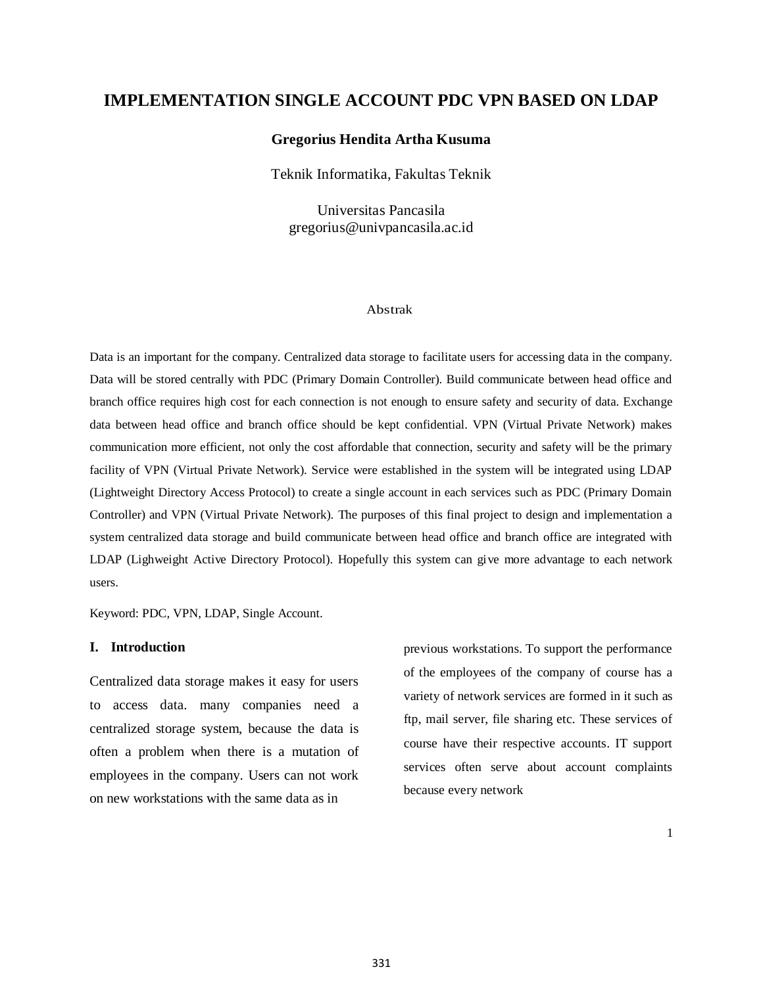# **IMPLEMENTATION SINGLE ACCOUNT PDC VPN BASED ON LDAP**

## **Gregorius Hendita Artha Kusuma**

Teknik Informatika, Fakultas Teknik

Universitas Pancasila gregorius@univpancasila.ac.id

## Abstrak

Data is an important for the company. Centralized data storage to facilitate users for accessing data in the company. Data will be stored centrally with PDC (Primary Domain Controller). Build communicate between head office and branch office requires high cost for each connection is not enough to ensure safety and security of data. Exchange data between head office and branch office should be kept confidential. VPN (Virtual Private Network) makes communication more efficient, not only the cost affordable that connection, security and safety will be the primary facility of VPN (Virtual Private Network). Service were established in the system will be integrated using LDAP (Lightweight Directory Access Protocol) to create a single account in each services such as PDC (Primary Domain Controller) and VPN (Virtual Private Network). The purposes of this final project to design and implementation a system centralized data storage and build communicate between head office and branch office are integrated with LDAP (Lighweight Active Directory Protocol). Hopefully this system can give more advantage to each network users.

Keyword: PDC, VPN, LDAP, Single Account.

#### **I. Introduction**

Centralized data storage makes it easy for users to access data. many companies need a centralized storage system, because the data is often a problem when there is a mutation of employees in the company. Users can not work on new workstations with the same data as in

previous workstations. To support the performance of the employees of the company of course has a variety of network services are formed in it such as ftp, mail server, file sharing etc. These services of course have their respective accounts. IT support services often serve about account complaints because every network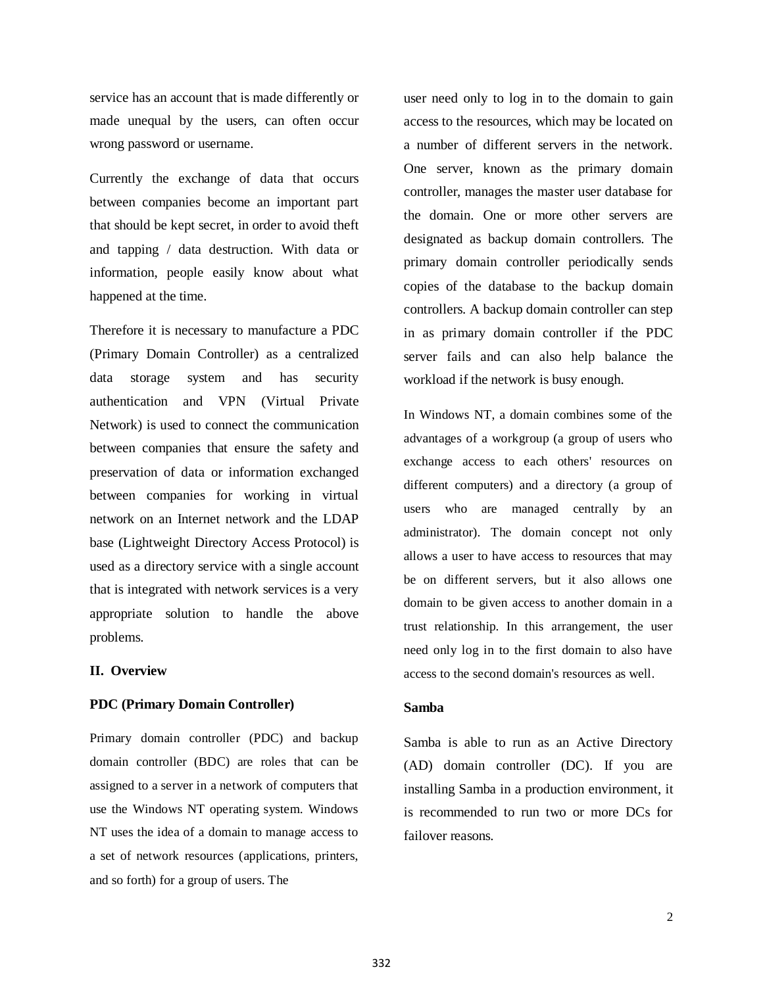service has an account that is made differently or made unequal by the users, can often occur wrong password or username.

Currently the exchange of data that occurs between companies become an important part that should be kept secret, in order to avoid theft and tapping / data destruction. With data or information, people easily know about what happened at the time.

Therefore it is necessary to manufacture a PDC (Primary Domain Controller) as a centralized data storage system and has security authentication and VPN (Virtual Private Network) is used to connect the communication between companies that ensure the safety and preservation of data or information exchanged between companies for working in virtual network on an Internet network and the LDAP base (Lightweight Directory Access Protocol) is used as a directory service with a single account that is integrated with network services is a very appropriate solution to handle the above problems.

## **II. Overview**

### **PDC (Primary Domain Controller)**

Primary domain controller (PDC) and backup domain controller (BDC) are roles that can be assigned to a server in a network of computers that use the Windows NT operating system. Windows NT uses the idea of a domain to manage access to a set of network resources (applications, printers, and so forth) for a group of users. The

user need only to log in to the domain to gain access to the resources, which may be located on a number of different servers in the network. One server, known as the primary domain controller, manages the master user database for the domain. One or more other servers are designated as backup domain controllers. The primary domain controller periodically sends copies of the database to the backup domain controllers. A backup domain controller can step in as primary domain controller if the PDC server fails and can also help balance the workload if the network is busy enough.

In Windows NT, a domain combines some of the advantages of a workgroup (a group of users who exchange access to each others' resources on different computers) and a directory (a group of users who are managed centrally by an administrator). The domain concept not only allows a user to have access to resources that may be on different servers, but it also allows one domain to be given access to another domain in a trust relationship. In this arrangement, the user need only log in to the first domain to also have access to the second domain's resources as well.

## **Samba**

Samba is able to run as an Active Directory (AD) domain controller (DC). If you are installing Samba in a production environment, it is recommended to run two or more DCs for failover reasons.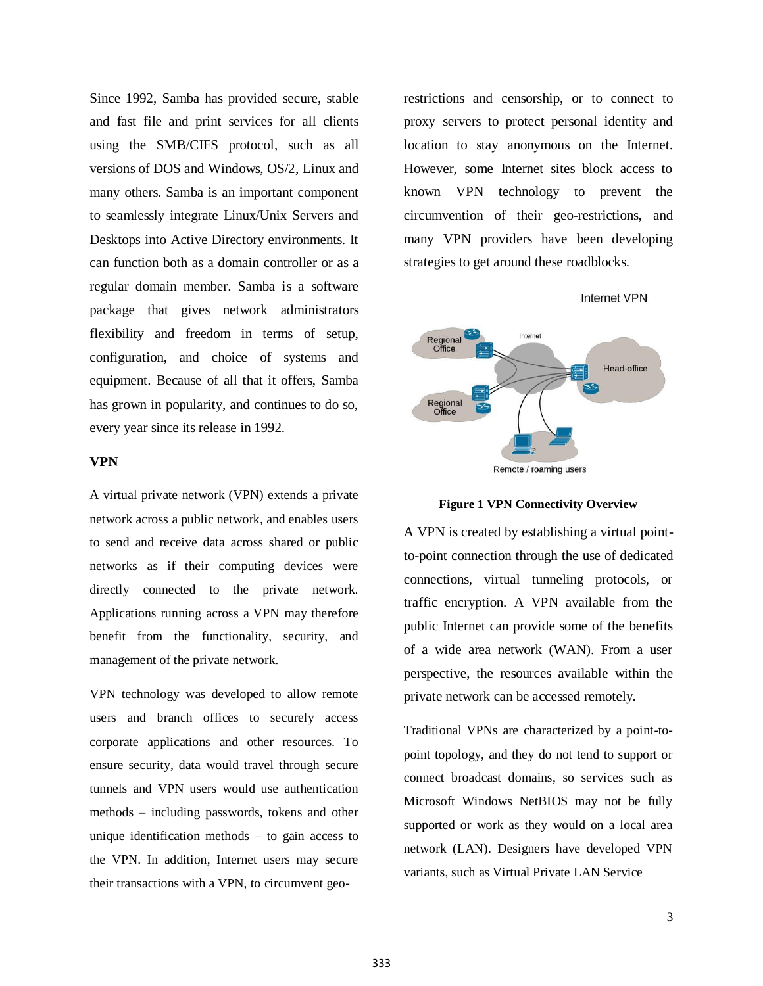Since 1992, Samba has provided secure, stable and fast file and print services for all clients using the SMB/CIFS protocol, such as all versions of DOS and Windows, OS/2, Linux and many others. Samba is an important component to seamlessly integrate Linux/Unix Servers and Desktops into Active Directory environments. It can function both as a domain controller or as a regular domain member. Samba is a software package that gives network administrators flexibility and freedom in terms of setup, configuration, and choice of systems and equipment. Because of all that it offers, Samba has grown in popularity, and continues to do so, every year since its release in 1992.

## **VPN**

A virtual private network (VPN) extends a private network across a public network, and enables users to send and receive data across shared or public networks as if their computing devices were directly connected to the private network. Applications running across a VPN may therefore benefit from the functionality, security, and management of the private network.

VPN technology was developed to allow remote users and branch offices to securely access corporate applications and other resources. To ensure security, data would travel through secure tunnels and VPN users would use authentication methods – including passwords, tokens and other unique identification methods – to gain access to the VPN. In addition, Internet users may secure their transactions with a VPN, to circumvent georestrictions and censorship, or to connect to proxy servers to protect personal identity and location to stay anonymous on the Internet. However, some Internet sites block access to known VPN technology to prevent the circumvention of their geo-restrictions, and many VPN providers have been developing strategies to get around these roadblocks.

**Internet VPN** 



Remote / roaming users

#### **Figure 1 VPN Connectivity Overview**

A VPN is created by establishing a virtual pointto-point connection through the use of dedicated connections, virtual tunneling protocols, or traffic encryption. A VPN available from the public Internet can provide some of the benefits of a wide area network (WAN). From a user perspective, the resources available within the private network can be accessed remotely.

Traditional VPNs are characterized by a point-topoint topology, and they do not tend to support or connect broadcast domains, so services such as Microsoft Windows NetBIOS may not be fully supported or work as they would on a local area network (LAN). Designers have developed VPN variants, such as Virtual Private LAN Service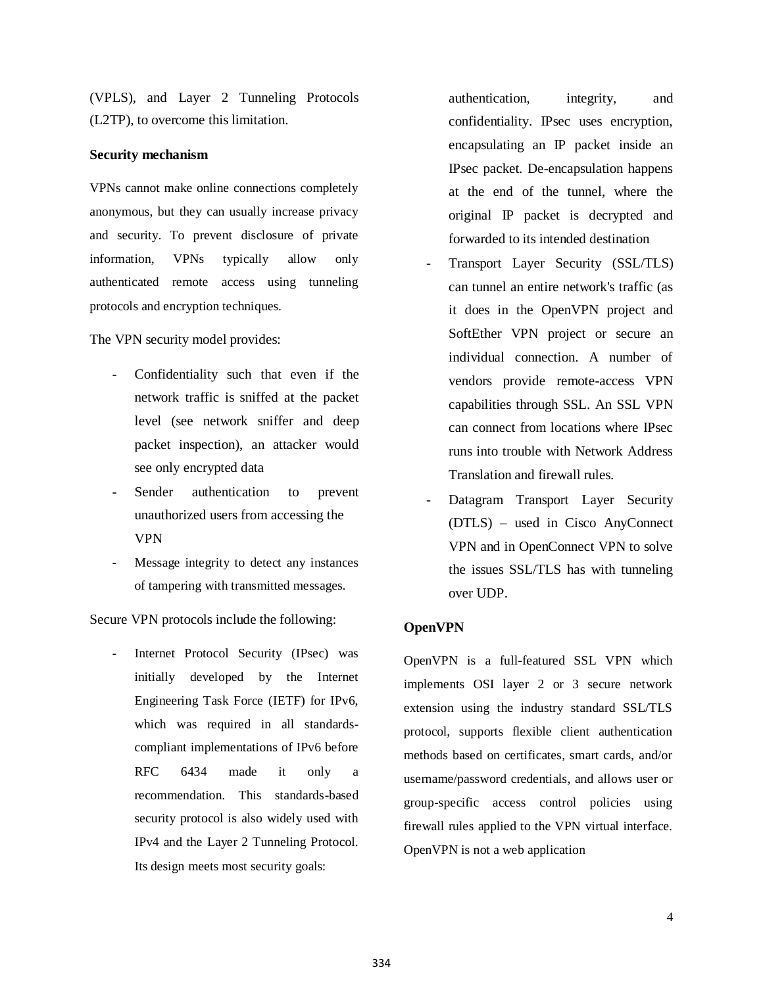(VPLS), and Layer 2 Tunneling Protocols (L2TP), to overcome this limitation.

### **Security mechanism**

VPNs cannot make online connections completely anonymous, but they can usually increase privacy and security. To prevent disclosure of private information, VPNs typically allow only authenticated remote access using tunneling protocols and encryption techniques.

The VPN security model provides:

- Confidentiality such that even if the network traffic is sniffed at the packet level (see network sniffer and deep packet inspection), an attacker would see only encrypted data
- Sender authentication to prevent unauthorized users from accessing the VPN
- Message integrity to detect any instances of tampering with transmitted messages.

Secure VPN protocols include the following:

Internet Protocol Security (IPsec) was initially developed by the Internet Engineering Task Force (IETF) for IPv6, which was required in all standardscompliant implementations of IPv6 before RFC 6434 made it only a recommendation. This standards-based security protocol is also widely used with IPv4 and the Layer 2 Tunneling Protocol. Its design meets most security goals:

authentication, integrity, and confidentiality. IPsec uses encryption, encapsulating an IP packet inside an IPsec packet. De-encapsulation happens at the end of the tunnel, where the original IP packet is decrypted and forwarded to its intended destination

- Transport Layer Security (SSL/TLS) can tunnel an entire network's traffic (as it does in the OpenVPN project and SoftEther VPN project or secure an individual connection. A number of vendors provide remote-access VPN capabilities through SSL. An SSL VPN can connect from locations where IPsec runs into trouble with Network Address Translation and firewall rules.
- Datagram Transport Layer Security (DTLS) – used in Cisco AnyConnect VPN and in OpenConnect VPN to solve the issues SSL/TLS has with tunneling over UDP.

### **OpenVPN**

OpenVPN is a full-featured SSL VPN which implements OSI layer 2 or 3 secure network extension using the industry standard SSL/TLS protocol, supports flexible client authentication methods based on certificates, smart cards, and/or username/password credentials, and allows user or group-specific access control policies using firewall rules applied to the VPN virtual interface. OpenVPN is not a web application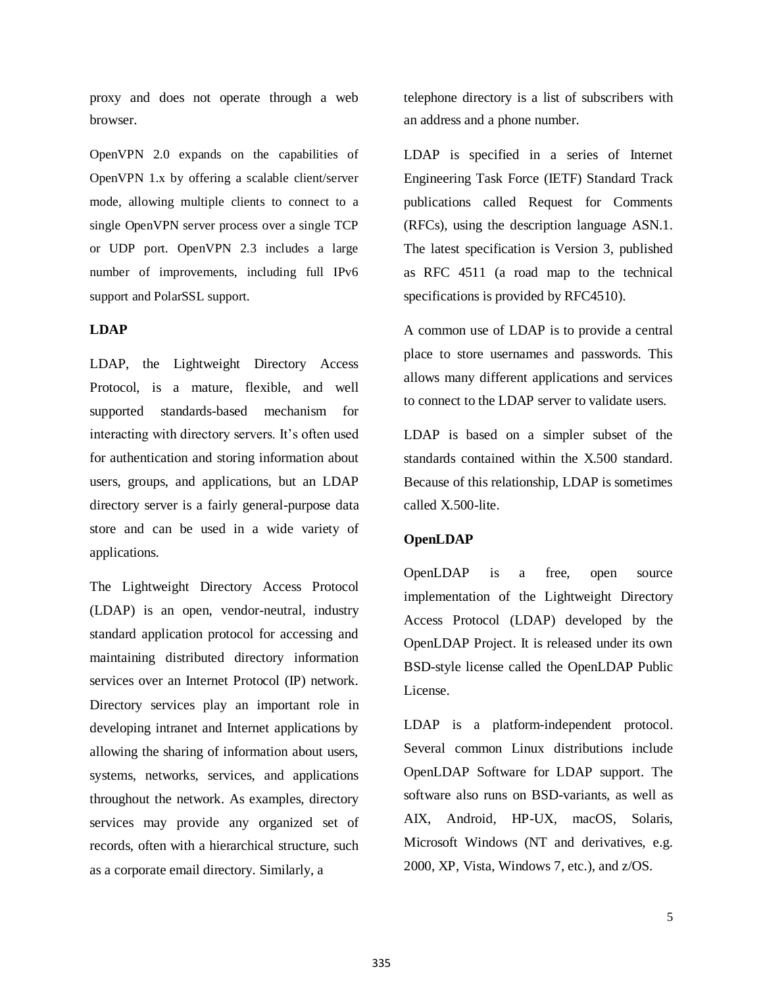proxy and does not operate through a web browser.

OpenVPN 2.0 expands on the capabilities of OpenVPN 1.x by offering a scalable client/server mode, allowing multiple clients to connect to a single OpenVPN server process over a single TCP or UDP port. OpenVPN 2.3 includes a large number of improvements, including full IPv6 support and PolarSSL support.

## **LDAP**

LDAP, the Lightweight Directory Access Protocol, is a mature, flexible, and well supported standards-based mechanism for interacting with directory servers. It's often used for authentication and storing information about users, groups, and applications, but an LDAP directory server is a fairly general-purpose data store and can be used in a wide variety of applications.

The Lightweight Directory Access Protocol (LDAP) is an open, vendor-neutral, industry standard application protocol for accessing and maintaining distributed directory information services over an Internet Protocol (IP) network. Directory services play an important role in developing intranet and Internet applications by allowing the sharing of information about users, systems, networks, services, and applications throughout the network. As examples, directory services may provide any organized set of records, often with a hierarchical structure, such as a corporate email directory. Similarly, a

telephone directory is a list of subscribers with an address and a phone number.

LDAP is specified in a series of Internet Engineering Task Force (IETF) Standard Track publications called Request for Comments (RFCs), using the description language ASN.1. The latest specification is Version 3, published as RFC 4511 (a road map to the technical specifications is provided by RFC4510).

A common use of LDAP is to provide a central place to store usernames and passwords. This allows many different applications and services to connect to the LDAP server to validate users.

LDAP is based on a simpler subset of the standards contained within the X.500 standard. Because of this relationship, LDAP is sometimes called X.500-lite.

## **OpenLDAP**

OpenLDAP is a free, open source implementation of the Lightweight Directory Access Protocol (LDAP) developed by the OpenLDAP Project. It is released under its own BSD-style license called the OpenLDAP Public License.

LDAP is a platform-independent protocol. Several common Linux distributions include OpenLDAP Software for LDAP support. The software also runs on BSD-variants, as well as AIX, Android, HP-UX, macOS, Solaris, Microsoft Windows (NT and derivatives, e.g. 2000, XP, Vista, Windows 7, etc.), and z/OS.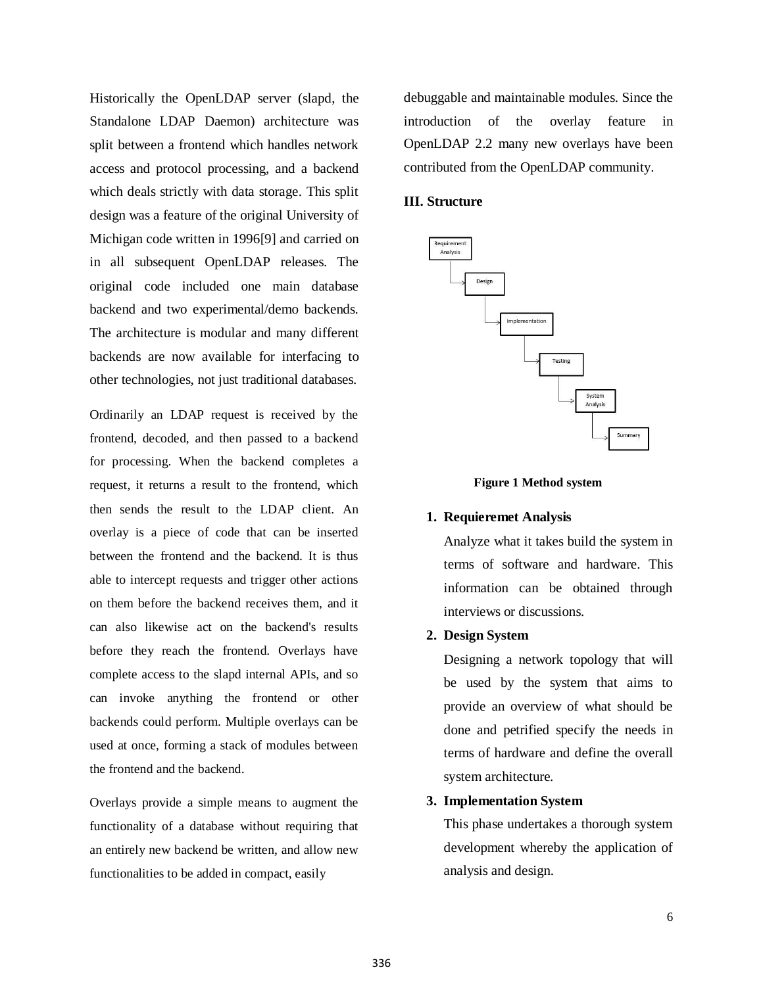Historically the OpenLDAP server (slapd, the Standalone LDAP Daemon) architecture was split between a frontend which handles network access and protocol processing, and a backend which deals strictly with data storage. This split design was a feature of the original University of Michigan code written in 1996[9] and carried on in all subsequent OpenLDAP releases. The original code included one main database backend and two experimental/demo backends. The architecture is modular and many different backends are now available for interfacing to other technologies, not just traditional databases.

Ordinarily an LDAP request is received by the frontend, decoded, and then passed to a backend for processing. When the backend completes a request, it returns a result to the frontend, which then sends the result to the LDAP client. An overlay is a piece of code that can be inserted between the frontend and the backend. It is thus able to intercept requests and trigger other actions on them before the backend receives them, and it can also likewise act on the backend's results before they reach the frontend. Overlays have complete access to the slapd internal APIs, and so can invoke anything the frontend or other backends could perform. Multiple overlays can be used at once, forming a stack of modules between the frontend and the backend.

Overlays provide a simple means to augment the functionality of a database without requiring that an entirely new backend be written, and allow new functionalities to be added in compact, easily

debuggable and maintainable modules. Since the introduction of the overlay feature in OpenLDAP 2.2 many new overlays have been contributed from the OpenLDAP community.

## **III. Structure**



#### **Figure 1 Method system**

## **1. Requieremet Analysis**

Analyze what it takes build the system in terms of software and hardware. This information can be obtained through interviews or discussions.

## **2. Design System**

Designing a network topology that will be used by the system that aims to provide an overview of what should be done and petrified specify the needs in terms of hardware and define the overall system architecture.

#### **3. Implementation System**

This phase undertakes a thorough system development whereby the application of analysis and design.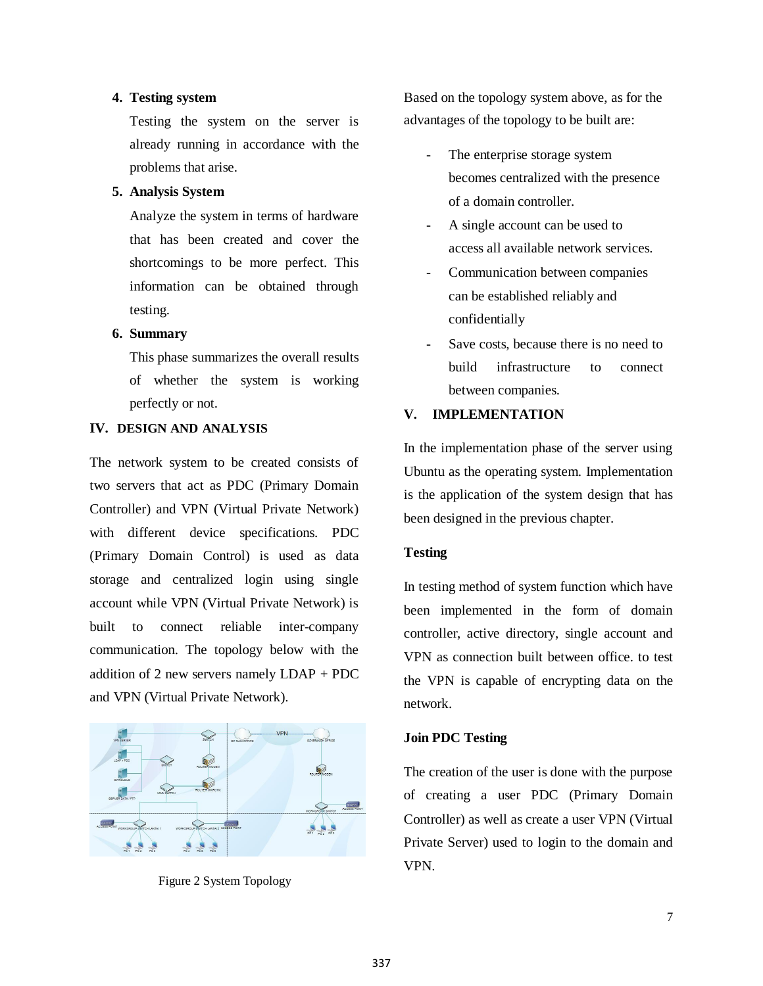## **4. Testing system**

Testing the system on the server is already running in accordance with the problems that arise.

## **5. Analysis System**

Analyze the system in terms of hardware that has been created and cover the shortcomings to be more perfect. This information can be obtained through testing.

## **6. Summary**

This phase summarizes the overall results of whether the system is working perfectly or not.

## **IV. DESIGN AND ANALYSIS**

The network system to be created consists of two servers that act as PDC (Primary Domain Controller) and VPN (Virtual Private Network) with different device specifications. PDC (Primary Domain Control) is used as data storage and centralized login using single account while VPN (Virtual Private Network) is built to connect reliable inter-company communication. The topology below with the addition of 2 new servers namely LDAP + PDC and VPN (Virtual Private Network).



Figure 2 System Topology

Based on the topology system above, as for the advantages of the topology to be built are:

- The enterprise storage system becomes centralized with the presence of a domain controller.
- A single account can be used to access all available network services.
- Communication between companies can be established reliably and confidentially
- Save costs, because there is no need to build infrastructure to connect between companies.

## **V. IMPLEMENTATION**

In the implementation phase of the server using Ubuntu as the operating system. Implementation is the application of the system design that has been designed in the previous chapter.

## **Testing**

In testing method of system function which have been implemented in the form of domain controller, active directory, single account and VPN as connection built between office. to test the VPN is capable of encrypting data on the network.

## **Join PDC Testing**

The creation of the user is done with the purpose of creating a user PDC (Primary Domain Controller) as well as create a user VPN (Virtual Private Server) used to login to the domain and VPN.

7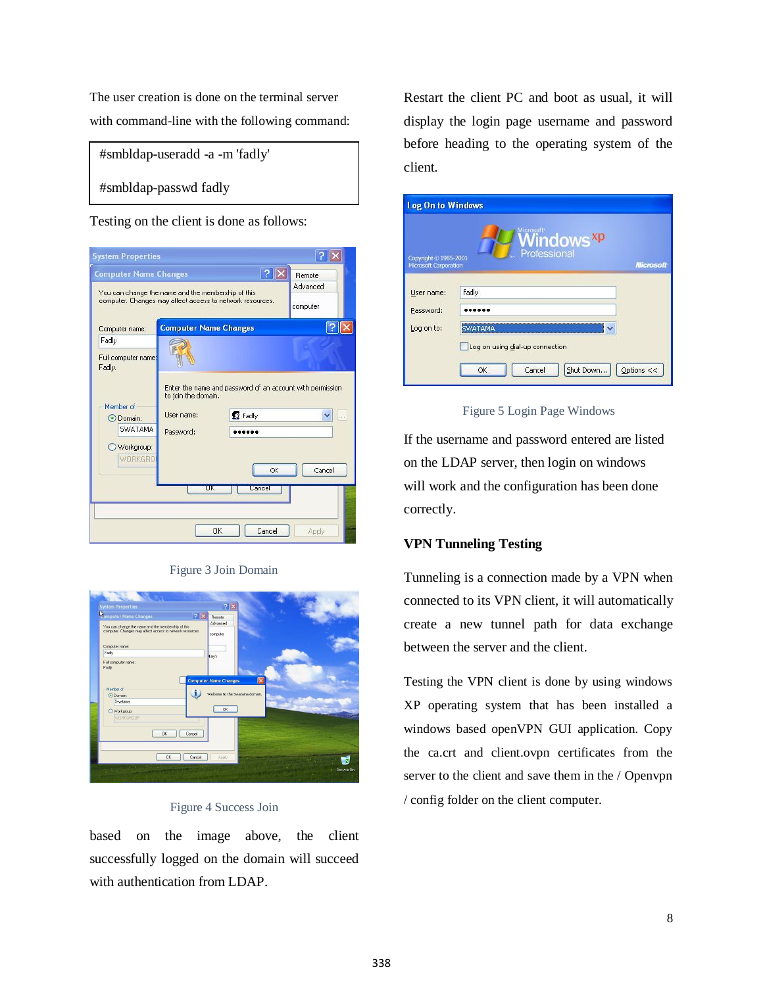The user creation is done on the terminal server with command-line with the following command:

#smbldap-useradd -a -m 'fadly'

#smbldap-passwd fadly

Testing on the client is done as follows:



Figure 3 Join Domain

| <b>System Properties</b>                                                                                                                                       | ? X                                                            |
|----------------------------------------------------------------------------------------------------------------------------------------------------------------|----------------------------------------------------------------|
| <b><i>Somputer Name Changes</i></b><br> ? X<br>You can change the name and the membership of this<br>computer. Changes may affect access to network resources. | <b>Remote</b><br>Advanced<br>computer                          |
| Computer name:<br>Fadly                                                                                                                                        | Kary's                                                         |
| Full computer name:<br>Fadly.<br>Member of<br>1<br>O Domain:<br>Swatama                                                                                        | <b>Computer Name Changes</b><br>Welcome to the Swatama domain. |
| ○ Workgroup:<br>WORKGROUP<br><b>OK</b><br>Cancel                                                                                                               | <b>OK</b>                                                      |
| 0 <sup>K</sup><br>Cancel<br><b>NAMES OF STREET PROPERTY</b>                                                                                                    | Apply<br>Recycle Bin                                           |

## Figure 4 Success Join

based on the image above, the client successfully logged on the domain will succeed with authentication from LDAP.

Restart the client PC and boot as usual, it will display the login page username and password before heading to the operating system of the client.

| <b>Log On to Windows</b>                       |                                                                              |
|------------------------------------------------|------------------------------------------------------------------------------|
| Copyright © 1985-2001<br>Microsoft Corporation | Windows <sup>xp</sup><br>Professional<br><b>Microsoft</b>                    |
| User name:                                     | fadly                                                                        |
| Password:<br>Log on to:                        | <b>SWATAMA</b>                                                               |
|                                                | Log on using dial-up connection<br>Options $<<$<br>Shut Down<br>Cancel<br>OK |

## Figure 5 Login Page Windows

If the username and password entered are listed on the LDAP server, then login on windows will work and the configuration has been done correctly.

# **VPN Tunneling Testing**

Tunneling is a connection made by a VPN when connected to its VPN client, it will automatically create a new tunnel path for data exchange between the server and the client.

Testing the VPN client is done by using windows XP operating system that has been installed a windows based openVPN GUI application. Copy the ca.crt and client.ovpn certificates from the server to the client and save them in the / Openvpn / config folder on the client computer.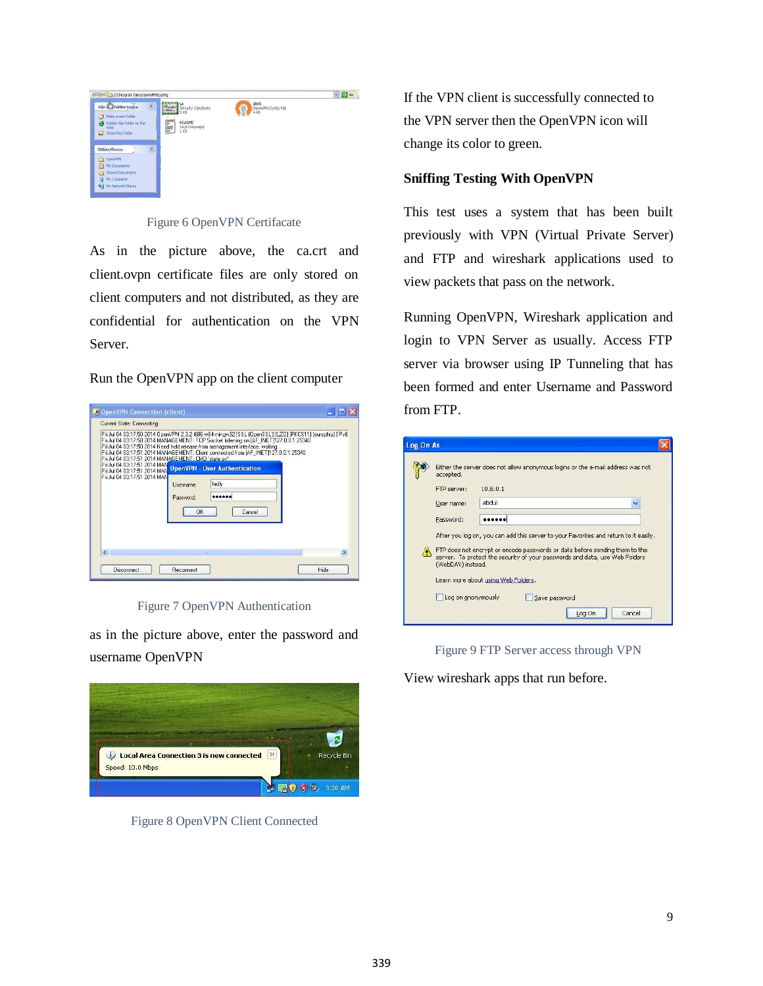

Figure 6 OpenVPN Certifacate

As in the picture above, the ca.crt and client.ovpn certificate files are only stored on client computers and not distributed, as they are confidential for authentication on the VPN Server.



| Fri Jul 04 03:17:50 2014 MANAGEMENT: TCP Socket listening on JAF INET1127.0.0.1:25340<br>Fri Jul 04 03:17:50 2014 Need hold release from management interface, waiting<br>Fri Jul 04 03:17:51 2014 MANAGEMENT: Client connected from [AF_INET]127.0.0.1:25340<br>Fri Jul 04 03:17:51 2014 MANAGEMENT: CMD 'state on'.<br>Fri Jul 04 03:17:51 2014 MAN<br>Fridal 04 03:17:51 2014 MAN |                             | <b>OpenVPN - User Authentication</b> | Fri Jul 04 03:17:50 2014 OpenVPN 2.3.2 i686-w64-mingw32 [SSL [OpenSSL]] [LZO] [PKCS11] [eurephia] [IPv6 |
|--------------------------------------------------------------------------------------------------------------------------------------------------------------------------------------------------------------------------------------------------------------------------------------------------------------------------------------------------------------------------------------|-----------------------------|--------------------------------------|---------------------------------------------------------------------------------------------------------|
| Fri Jul 04 03:17:51 2014 MAN                                                                                                                                                                                                                                                                                                                                                         | Username:<br>Password<br>OK | fadly<br>Cancel                      |                                                                                                         |
| $\left\langle \right\rangle$                                                                                                                                                                                                                                                                                                                                                         |                             | <b>HILL</b>                          |                                                                                                         |

Figure 7 OpenVPN Authentication

as in the picture above, enter the password and username OpenVPN



Figure 8 OpenVPN Client Connected

If the VPN client is successfully connected to the VPN server then the OpenVPN icon will change its color to green.

# **Sniffing Testing With OpenVPN**

This test uses a system that has been built previously with VPN (Virtual Private Server) and FTP and wireshark applications used to view packets that pass on the network.

Running OpenVPN, Wireshark application and login to VPN Server as usually. Access FTP server via browser using IP Tunneling that has been formed and enter Username and Password from FTP.

| Log On As |                                     |                                                                                                                                                            |  |  |  |  |  |  |  |  |  |  |  |
|-----------|-------------------------------------|------------------------------------------------------------------------------------------------------------------------------------------------------------|--|--|--|--|--|--|--|--|--|--|--|
|           | accepted.                           | Either the server does not allow anonymous logins or the e-mail address was not                                                                            |  |  |  |  |  |  |  |  |  |  |  |
|           | FTP server:                         | 10.8.0.1                                                                                                                                                   |  |  |  |  |  |  |  |  |  |  |  |
|           | User name:                          | abdul                                                                                                                                                      |  |  |  |  |  |  |  |  |  |  |  |
|           | Password:                           |                                                                                                                                                            |  |  |  |  |  |  |  |  |  |  |  |
|           |                                     | After you log on, you can add this server to your Favorites and return to it easily.                                                                       |  |  |  |  |  |  |  |  |  |  |  |
|           | (WebDAV) instead.                   | FTP does not encrypt or encode passwords or data before sending them to the<br>server. To protect the security of your passwords and data, use Web Folders |  |  |  |  |  |  |  |  |  |  |  |
|           | Learn more about using Web Folders. |                                                                                                                                                            |  |  |  |  |  |  |  |  |  |  |  |
|           | Log on anonymously                  | Save password                                                                                                                                              |  |  |  |  |  |  |  |  |  |  |  |
|           |                                     | Cancel<br>Log On                                                                                                                                           |  |  |  |  |  |  |  |  |  |  |  |

Figure 9 FTP Server access through VPN

View wireshark apps that run before.